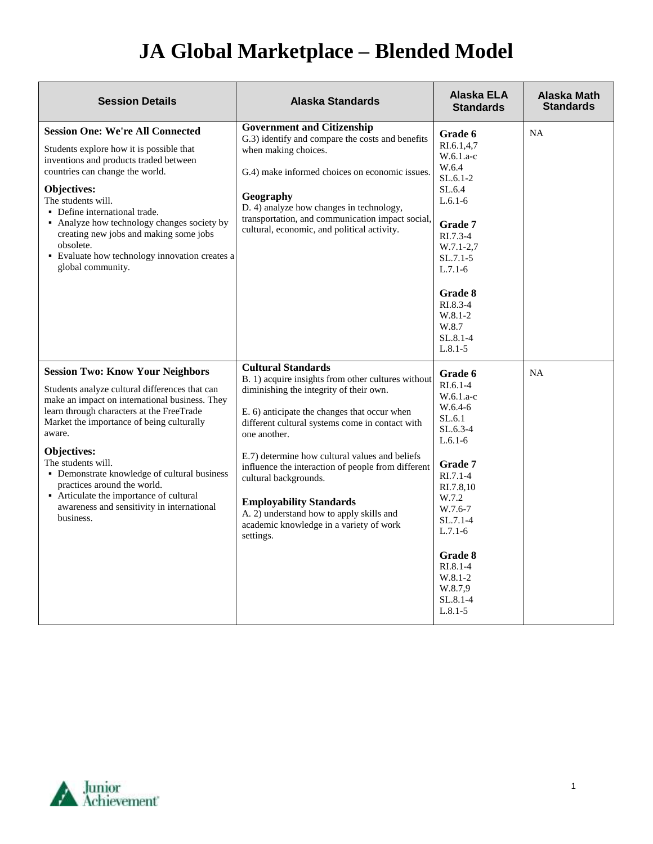## **JA Global Marketplace – Blended Model**

| <b>Session Details</b>                                                                                                                                                                                                                                                                                                                                                                                                                                                    | <b>Alaska Standards</b>                                                                                                                                                                                                                                                                                                                                                                                                                                                                                              | Alaska ELA<br><b>Standards</b>                                                                                                                                                                                                                            | Alaska Math<br><b>Standards</b> |
|---------------------------------------------------------------------------------------------------------------------------------------------------------------------------------------------------------------------------------------------------------------------------------------------------------------------------------------------------------------------------------------------------------------------------------------------------------------------------|----------------------------------------------------------------------------------------------------------------------------------------------------------------------------------------------------------------------------------------------------------------------------------------------------------------------------------------------------------------------------------------------------------------------------------------------------------------------------------------------------------------------|-----------------------------------------------------------------------------------------------------------------------------------------------------------------------------------------------------------------------------------------------------------|---------------------------------|
| <b>Session One: We're All Connected</b><br>Students explore how it is possible that<br>inventions and products traded between<br>countries can change the world.<br>Objectives:<br>The students will.<br>• Define international trade.<br>• Analyze how technology changes society by<br>creating new jobs and making some jobs<br>obsolete.<br>• Evaluate how technology innovation creates a<br>global community.                                                       | <b>Government and Citizenship</b><br>G.3) identify and compare the costs and benefits<br>when making choices.<br>G.4) make informed choices on economic issues.<br>Geography<br>D. 4) analyze how changes in technology,<br>transportation, and communication impact social,<br>cultural, economic, and political activity.                                                                                                                                                                                          | Grade 6<br>RI.6.1,4,7<br>$W.6.1.a-c$<br>W.6.4<br>$SL.6.1-2$<br>SL.6.4<br>$L.6.1-6$<br>Grade 7<br>$R1.7.3-4$<br>$W.7.1-2.7$<br>$SL.7.1 - 5$<br>$L.7.1-6$<br>Grade 8<br>RI.8.3-4<br>$W.8.1 - 2$<br>W.8.7<br>$SL.8.1 - 4$<br>$L.8.1 - 5$                     | <b>NA</b>                       |
| <b>Session Two: Know Your Neighbors</b><br>Students analyze cultural differences that can<br>make an impact on international business. They<br>learn through characters at the FreeTrade<br>Market the importance of being culturally<br>aware.<br>Objectives:<br>The students will.<br>• Demonstrate knowledge of cultural business<br>practices around the world.<br>• Articulate the importance of cultural<br>awareness and sensitivity in international<br>business. | <b>Cultural Standards</b><br>B. 1) acquire insights from other cultures without<br>diminishing the integrity of their own.<br>E. 6) anticipate the changes that occur when<br>different cultural systems come in contact with<br>one another.<br>E.7) determine how cultural values and beliefs<br>influence the interaction of people from different<br>cultural backgrounds.<br><b>Employability Standards</b><br>A. 2) understand how to apply skills and<br>academic knowledge in a variety of work<br>settings. | Grade 6<br>$RI.6.1-4$<br>$W.6.1.a-c$<br>W.6.4-6<br>SL.6.1<br>$SL.6.3-4$<br>$L.6.1-6$<br>Grade 7<br>$RI.7.1-4$<br>RI.7.8,10<br>W.7.2<br>W.7.6-7<br>$SL.7.1-4$<br>$L.7.1-6$<br>Grade 8<br>$RL.8.1-4$<br>$W.8.1-2$<br>W.8.7,9<br>$SL.8.1 - 4$<br>$L.8.1 - 5$ | NA                              |

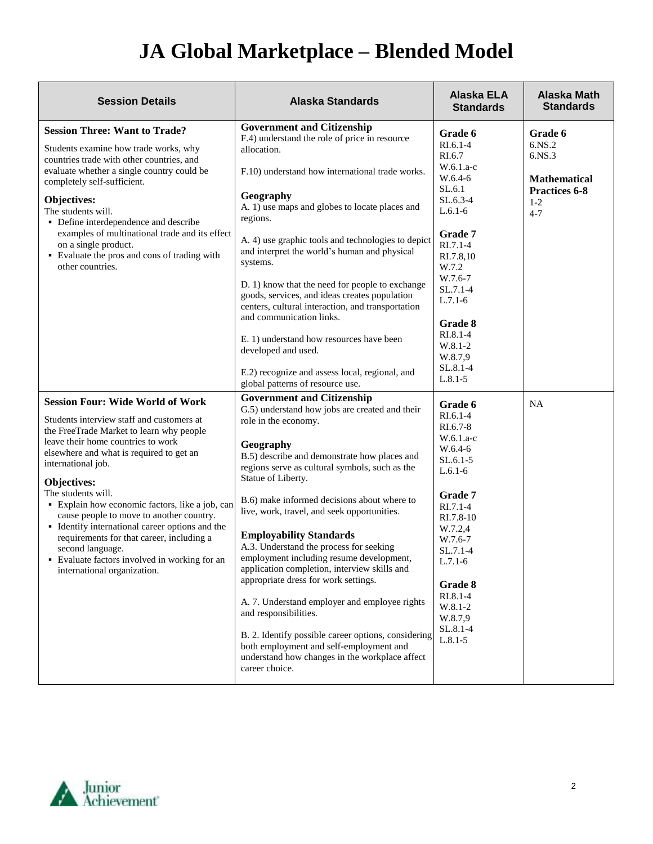## **JA Global Marketplace – Blended Model**

| <b>Session Details</b>                                                                                                                                                                                                                                                                                                                                                                                                                                                                                                                                                           | <b>Alaska Standards</b>                                                                                                                                                                                                                                                                                                                                                                                                                                                                                                                                                                                                                                                                                                                                                                                         | Alaska ELA<br><b>Standards</b>                                                                                                                                                                                                                            | Alaska Math<br><b>Standards</b>                                                                |
|----------------------------------------------------------------------------------------------------------------------------------------------------------------------------------------------------------------------------------------------------------------------------------------------------------------------------------------------------------------------------------------------------------------------------------------------------------------------------------------------------------------------------------------------------------------------------------|-----------------------------------------------------------------------------------------------------------------------------------------------------------------------------------------------------------------------------------------------------------------------------------------------------------------------------------------------------------------------------------------------------------------------------------------------------------------------------------------------------------------------------------------------------------------------------------------------------------------------------------------------------------------------------------------------------------------------------------------------------------------------------------------------------------------|-----------------------------------------------------------------------------------------------------------------------------------------------------------------------------------------------------------------------------------------------------------|------------------------------------------------------------------------------------------------|
| <b>Session Three: Want to Trade?</b><br>Students examine how trade works, why<br>countries trade with other countries, and<br>evaluate whether a single country could be<br>completely self-sufficient.<br>Objectives:<br>The students will.<br>• Define interdependence and describe<br>examples of multinational trade and its effect<br>on a single product.<br>• Evaluate the pros and cons of trading with<br>other countries.                                                                                                                                              | <b>Government and Citizenship</b><br>F.4) understand the role of price in resource<br>allocation.<br>F.10) understand how international trade works.<br>Geography<br>A. 1) use maps and globes to locate places and<br>regions.<br>A. 4) use graphic tools and technologies to depict<br>and interpret the world's human and physical<br>systems.<br>D. 1) know that the need for people to exchange<br>goods, services, and ideas creates population<br>centers, cultural interaction, and transportation<br>and communication links.<br>E. 1) understand how resources have been<br>developed and used.<br>E.2) recognize and assess local, regional, and<br>global patterns of resource use.                                                                                                                 | Grade 6<br>$RI.6.1-4$<br>RI.6.7<br>$W.6.1.a-c$<br>W.6.4-6<br>SL.6.1<br>$SL.6.3-4$<br>$L.6.1-6$<br>Grade 7<br>$RI.7.1-4$<br>RI.7.8,10<br>W.7.2<br>W.7.6-7<br>SL.7.1-4<br>$L.7.1-6$<br>Grade 8<br>RI.8.1-4<br>W.8.1-2<br>W.8.7,9<br>SL.8.1-4<br>$L.8.1 - 5$ | Grade 6<br>6.NS.2<br>6.NS.3<br><b>Mathematical</b><br><b>Practices 6-8</b><br>$1-2$<br>$4 - 7$ |
| <b>Session Four: Wide World of Work</b><br>Students interview staff and customers at<br>the FreeTrade Market to learn why people<br>leave their home countries to work<br>elsewhere and what is required to get an<br>international job.<br>Objectives:<br>The students will.<br>• Explain how economic factors, like a job, can<br>cause people to move to another country.<br>• Identify international career options and the<br>requirements for that career, including a<br>second language.<br>• Evaluate factors involved in working for an<br>international organization. | <b>Government and Citizenship</b><br>G.5) understand how jobs are created and their<br>role in the economy.<br>Geography<br>B.5) describe and demonstrate how places and<br>regions serve as cultural symbols, such as the<br>Statue of Liberty.<br>B.6) make informed decisions about where to<br>live, work, travel, and seek opportunities.<br><b>Employability Standards</b><br>A.3. Understand the process for seeking<br>employment including resume development,<br>application completion, interview skills and<br>appropriate dress for work settings.<br>A. 7. Understand employer and employee rights<br>and responsibilities.<br>B. 2. Identify possible career options, considering<br>both employment and self-employment and<br>understand how changes in the workplace affect<br>career choice. | Grade 6<br>RI.6.1-4<br>RI.6.7-8<br>W.6.1.a-c<br>W.6.4-6<br>$SL.6.1-5$<br>$L.6.1-6$<br>Grade 7<br>$RI.7.1-4$<br>RI.7.8-10<br>W.7.2,4<br>W.7.6-7<br>$SL.7.1-4$<br>$L.7.1-6$<br>Grade 8<br>RI.8.1-4<br>W.8.1-2<br>W.8.7,9<br>SL.8.1-4<br>$L.8.1 - 5$         | <b>NA</b>                                                                                      |